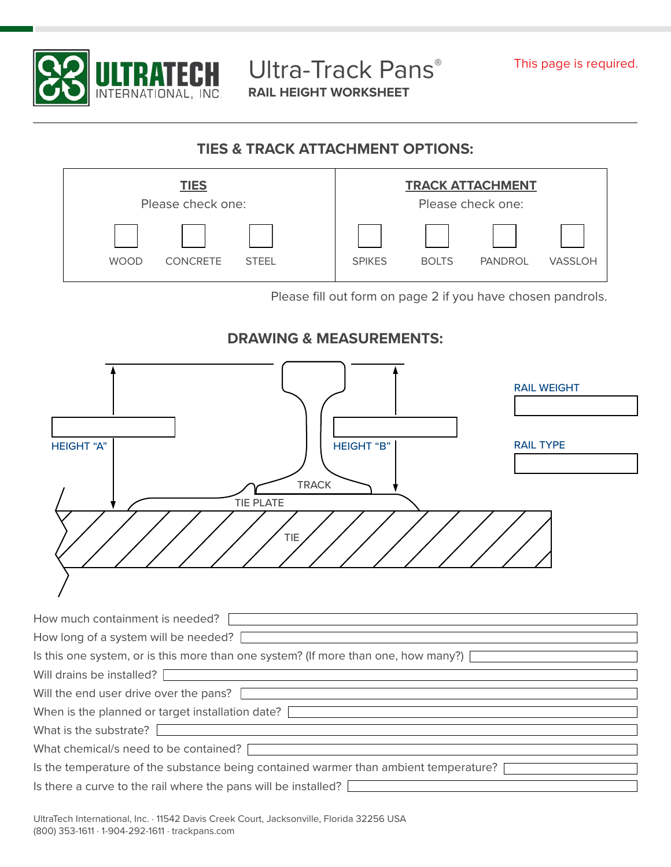

Ultra-Track Pans® **RAIL HEIGHT WORKSHEET**

## **TIES & TRACK ATTACHMENT OPTIONS:**



Please fill out form on page 2 if you have chosen pandrols.

## **DRAWING & MEASUREMENTS:**

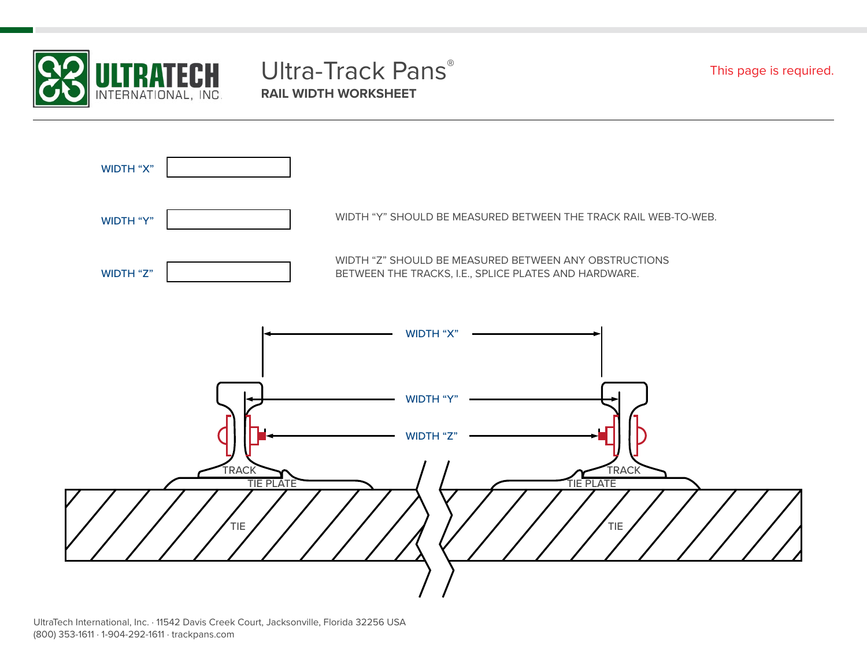

## Ultra-Track Pans® **RAIL WIDTH WORKSHEET**

This page is required.



UltraTech International, Inc. · 11542 Davis Creek Court, Jacksonville, Florida 32256 USA (800) 353-1611 · 1-904-292-1611 · trackpans.com